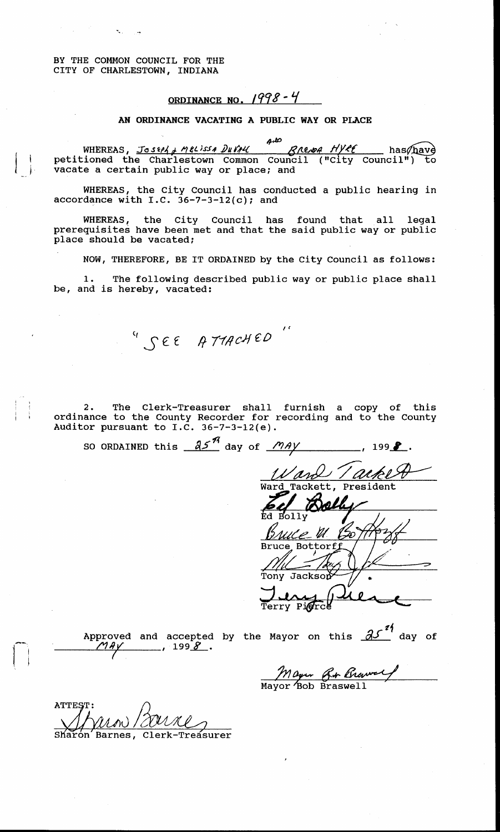BY THE COMMON COUNCIL FOR THE CITY OF CHARLESTOWN, INDIANA

## **ORDINANCE NO.** *1998* 4

## **AN ORDINANCE VACATING A PUBLIC WAY OR PLACE**

has/have petitioned the Charlestown Common Council ( "City Council") to WHEREAS *Jo* **s** *eph*  vacate a certain public way or place; and

WHEREAS, the City Council has conducted a public hearing in accordance with I.C. 36-7-3-12(c); and

WHEREAS, the City Council has found that all legal prerequisites have been met and that the said public way or public place should be vacated;

NOW, THEREFORE, BE IT ORDAINED by the City Council as follows:

1. The following described public way or public place shall be, and is hereby, vacated:

*see* attached

2. The Clerk-Treasurer shall furnish a copy of this  $\Box$  ordinance to the County Recorder for recording and to the County Auditor pursuant to I.C. 36-7-3-12(e).

SO ORDAINED this  $\frac{\partial^{\mathcal{J}}\mathcal{J}}{\partial \alpha}$  day of  $\frac{\partial^{\mathcal{J}}\mathcal{J}}{\partial \alpha}$ , 199 $\blacksquare$ .

Ward Tackett Tackett, President

Bruce Bottorf Tony Jackso

erry Pi**g**rce

proved and accepted **proved and accepted** 

Approved and accepted by the Mayor on this  $\mathcal{A}^{\mathcal{I}^{\sharp}}$  day of

*Bob*  Mayor Bob Braswell

**ATTEST** 

Treasurer Barnes,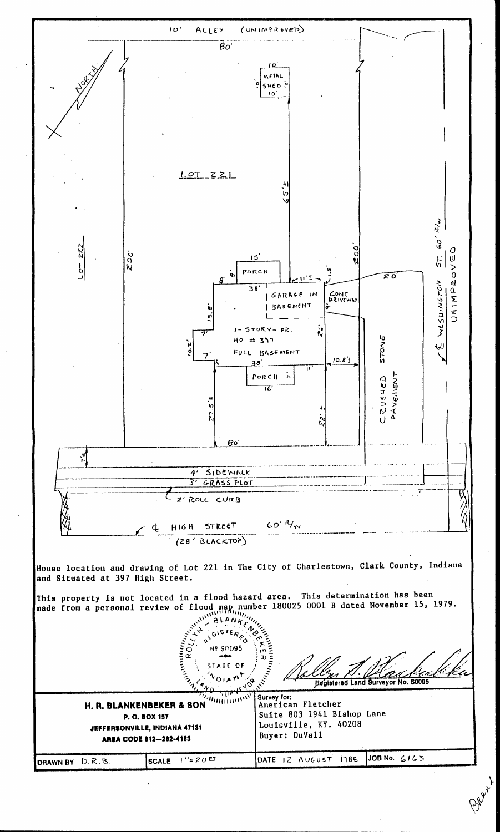